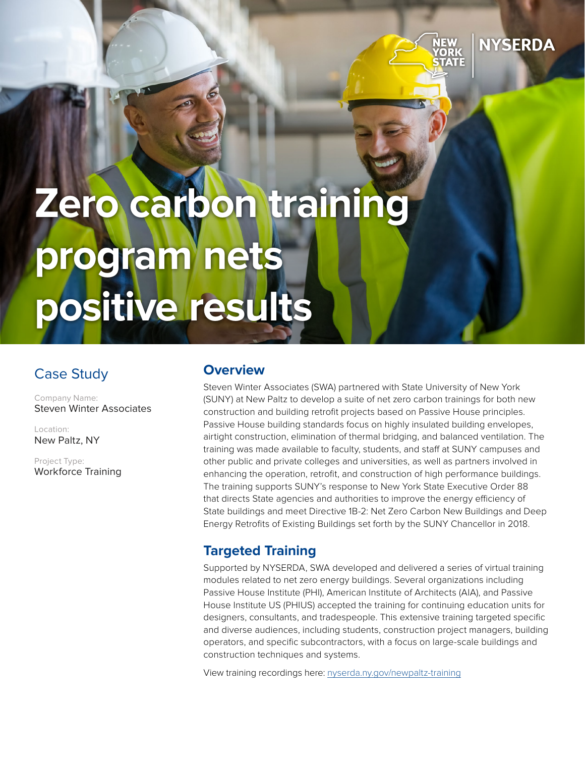

# **NYSERDA**

# **Zero carbon training program nets positive results**

# Case Study

Company Name: Steven Winter Associates

Location: New Paltz, NY

Project Type: Workforce Training

#### **Overview**

Steven Winter Associates (SWA) partnered with State University of New York (SUNY) at New Paltz to develop a suite of net zero carbon trainings for both new construction and building retroft projects based on Passive House principles. Passive House building standards focus on highly insulated building envelopes, airtight construction, elimination of thermal bridging, and balanced ventilation. The training was made available to faculty, students, and staf at SUNY campuses and other public and private colleges and universities, as well as partners involved in enhancing the operation, retroft, and construction of high performance buildings. The training supports SUNY's response to New York State Executive Order 88 that directs State agencies and authorities to improve the energy efficiency of State buildings and meet Directive 1B-2: Net Zero Carbon New Buildings and Deep Energy Retrofits of Existing Buildings set forth by the SUNY Chancellor in 2018.

## **Targeted Training**

Supported by NYSERDA, SWA developed and delivered a series of virtual training modules related to net zero energy buildings. Several organizations including Passive House Institute (PHI), American Institute of Architects (AIA), and Passive House Institute US (PHIUS) accepted the training for continuing education units for designers, consultants, and tradespeople. This extensive training targeted specifc and diverse audiences, including students, construction project managers, building operators, and specific subcontractors, with a focus on large-scale buildings and construction techniques and systems.

View training recordings here: [nyserda.ny.gov/newpaltz-training](https://nyserda.ny.gov/newpaltz-training)